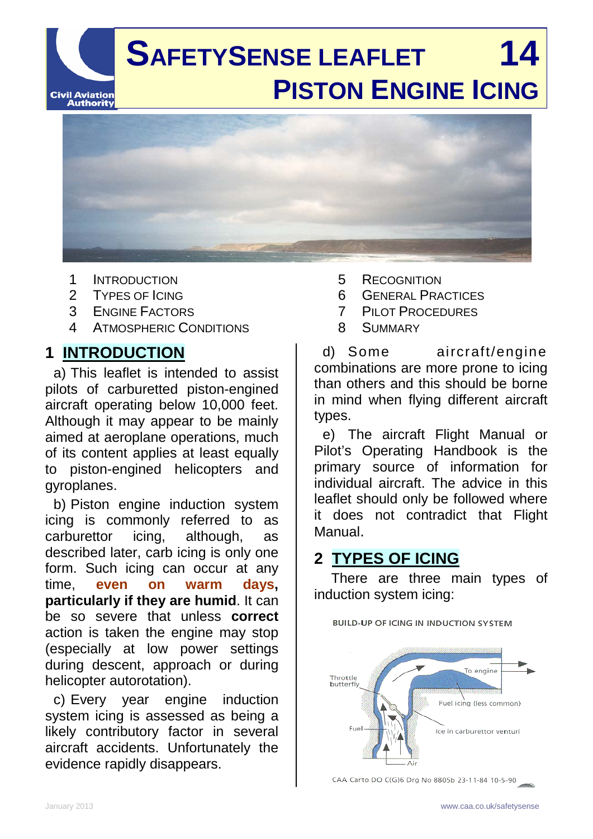

- 1 INTRODUCTION
- 2 TYPES OF ICING<br>3 ENGINE FACTOR
- **ENGINE FACTORS**
- 4 ATMOSPHERIC CONDITIONS

## **1 INTRODUCTION**

a) This leaflet is intended to assist pilots of carburetted piston-engined aircraft operating below 10,000 feet. Although it may appear to be mainly aimed at aeroplane operations, much of its content applies at least equally to piston-engined helicopters and gyroplanes.

b) Piston engine induction system icing is commonly referred to as carburettor icing, although, as described later, carb icing is only one form. Such icing can occur at any time, **even on warm days, particularly if they are humid**. It can be so severe that unless **correct** action is taken the engine may stop (especially at low power settings during descent, approach or during helicopter autorotation).

c) Every year engine induction system icing is assessed as being a likely contributory factor in several aircraft accidents. Unfortunately the evidence rapidly disappears.

- 5 RECOGNITION
- 6 GENERAL PRACTICES
- 7 PILOT PROCEDURES
- 8 SUMMARY

d) Some aircraft/engine combinations are more prone to icing than others and this should be borne in mind when flying different aircraft types.

e) The aircraft Flight Manual or Pilot's Operating Handbook is the primary source of information for individual aircraft. The advice in this leaflet should only be followed where it does not contradict that Flight Manual.

## **2 TYPES OF ICING**

There are three main types of induction system icing:

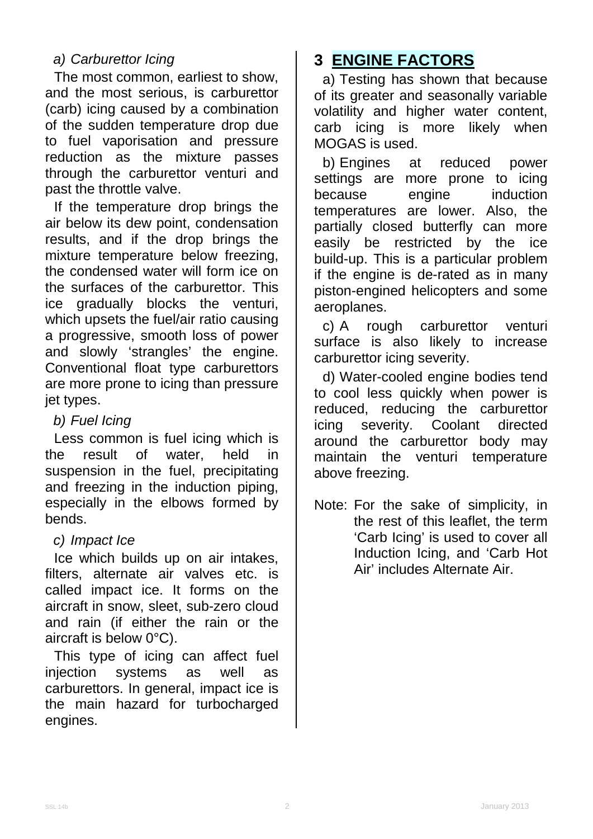### *a) Carburettor Icing*

The most common, earliest to show, and the most serious, is carburettor (carb) icing caused by a combination of the sudden temperature drop due to fuel vaporisation and pressure reduction as the mixture passes through the carburettor venturi and past the throttle valve.

If the temperature drop brings the air below its dew point, condensation results, and if the drop brings the mixture temperature below freezing, the condensed water will form ice on the surfaces of the carburettor. This ice gradually blocks the venturi, which upsets the fuel/air ratio causing a progressive, smooth loss of power and slowly 'strangles' the engine. Conventional float type carburettors are more prone to icing than pressure jet types.

#### *b) Fuel Icing*

Less common is fuel icing which is the result of water, held in suspension in the fuel, precipitating and freezing in the induction piping, especially in the elbows formed by bends.

#### *c) Impact Ice*

Ice which builds up on air intakes, filters, alternate air valves etc. is called impact ice. It forms on the aircraft in snow, sleet, sub-zero cloud and rain (if either the rain or the aircraft is below 0°C).

This type of icing can affect fuel injection systems as well as carburettors. In general, impact ice is the main hazard for turbocharged engines.

# **3 ENGINE FACTORS**

a) Testing has shown that because of its greater and seasonally variable volatility and higher water content, carb icing is more likely when MOGAS is used.

b) Engines at reduced power settings are more prone to icing<br>because engine induction engine induction temperatures are lower. Also, the partially closed butterfly can more easily be restricted by the ice build-up. This is a particular problem if the engine is de-rated as in many piston-engined helicopters and some aeroplanes.

c) A rough carburettor venturi surface is also likely to increase carburettor icing severity.

d) Water-cooled engine bodies tend to cool less quickly when power is reduced, reducing the carburettor icing severity. Coolant directed around the carburettor body may maintain the venturi temperature above freezing.

Note: For the sake of simplicity, in the rest of this leaflet, the term 'Carb Icing' is used to cover all Induction Icing, and 'Carb Hot Air' includes Alternate Air.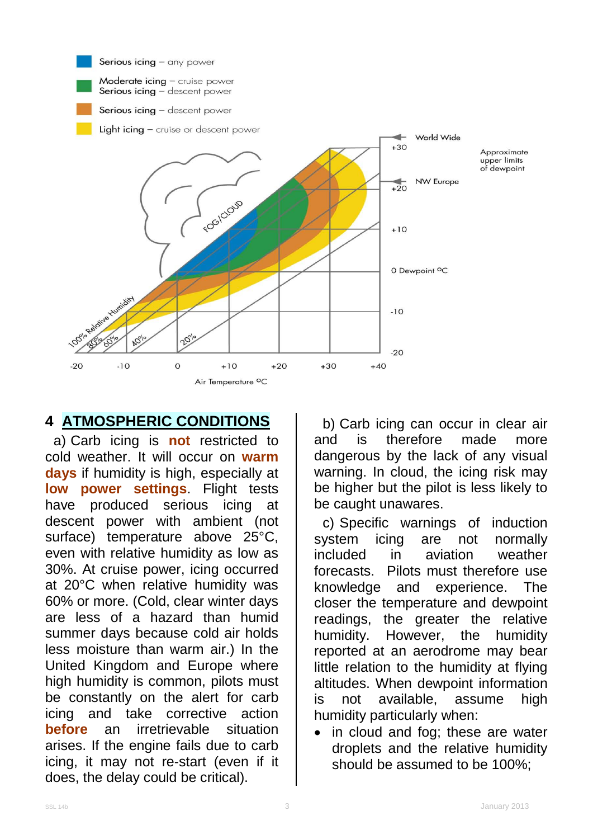

## **4 ATMOSPHERIC CONDITIONS**

a) Carb icing is **not** restricted to cold weather. It will occur on **warm days** if humidity is high, especially at **low power settings**. Flight tests have produced serious icing at descent power with ambient (not surface) temperature above 25°C, even with relative humidity as low as 30%. At cruise power, icing occurred at 20°C when relative humidity was 60% or more. (Cold, clear winter days are less of a hazard than humid summer days because cold air holds less moisture than warm air.) In the United Kingdom and Europe where high humidity is common, pilots must be constantly on the alert for carb icing and take corrective action **before** an irretrievable situation arises. If the engine fails due to carb icing, it may not re-start (even if it does, the delay could be critical).

b) Carb icing can occur in clear air and is therefore made more dangerous by the lack of any visual warning. In cloud, the icing risk may be higher but the pilot is less likely to be caught unawares.

c) Specific warnings of induction system icing are not normally included in aviation weather forecasts. Pilots must therefore use knowledge and experience. The closer the temperature and dewpoint readings, the greater the relative humidity. However, the humidity reported at an aerodrome may bear little relation to the humidity at flying altitudes. When dewpoint information is not available, assume high humidity particularly when:

• in cloud and fog; these are water droplets and the relative humidity should be assumed to be 100%;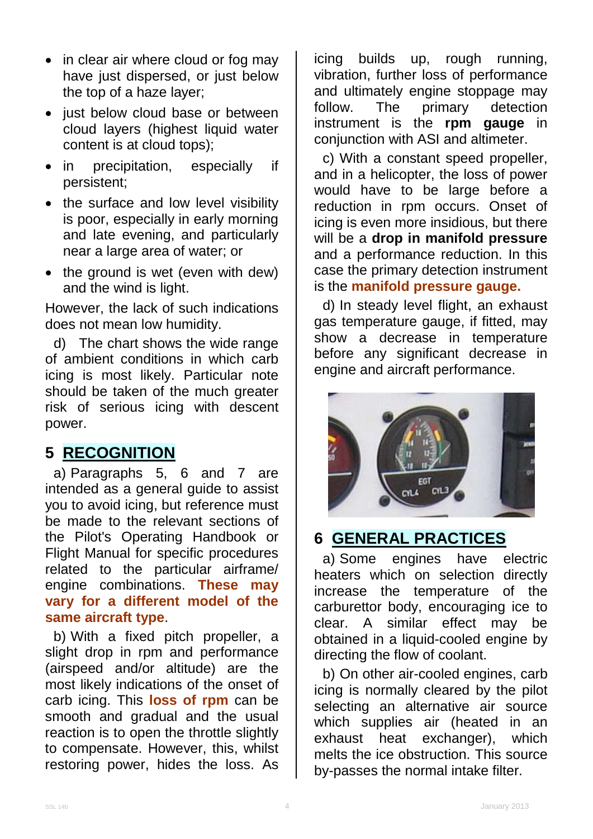- in clear air where cloud or fog may have just dispersed, or just below the top of a haze layer;
- just below cloud base or between cloud layers (highest liquid water content is at cloud tops);
- in precipitation, especially if persistent;
- the surface and low level visibility is poor, especially in early morning and late evening, and particularly near a large area of water; or
- the ground is wet (even with dew) and the wind is light.

However, the lack of such indications does not mean low humidity.

d) The chart shows the wide range of ambient conditions in which carb icing is most likely. Particular note should be taken of the much greater risk of serious icing with descent power.

## **5 RECOGNITION**

a) Paragraphs 5, 6 and 7 are intended as a general guide to assist you to avoid icing, but reference must be made to the relevant sections of the Pilot's Operating Handbook or Flight Manual for specific procedures related to the particular airframe/ engine combinations. **These may vary for a different model of the same aircraft type**.

b) With a fixed pitch propeller, a slight drop in rpm and performance (airspeed and/or altitude) are the most likely indications of the onset of carb icing. This **loss of rpm** can be smooth and gradual and the usual reaction is to open the throttle slightly to compensate. However, this, whilst restoring power, hides the loss. As

icing builds up, rough running, vibration, further loss of performance and ultimately engine stoppage may<br>follow. The primary detection follow. The primary detection instrument is the **rpm gauge** in conjunction with ASI and altimeter.

c) With a constant speed propeller, and in a helicopter, the loss of power would have to be large before a reduction in rpm occurs. Onset of icing is even more insidious, but there will be a **drop in manifold pressure** and a performance reduction. In this case the primary detection instrument is the **manifold pressure gauge.** 

d) In steady level flight, an exhaust gas temperature gauge, if fitted, may show a decrease in temperature before any significant decrease in engine and aircraft performance.



## **6 GENERAL PRACTICES**

a) Some engines have electric heaters which on selection directly increase the temperature of the carburettor body, encouraging ice to clear. A similar effect may be obtained in a liquid-cooled engine by directing the flow of coolant.

b) On other air-cooled engines, carb icing is normally cleared by the pilot selecting an alternative air source which supplies air (heated in an exhaust heat exchanger), which melts the ice obstruction. This source by-passes the normal intake filter.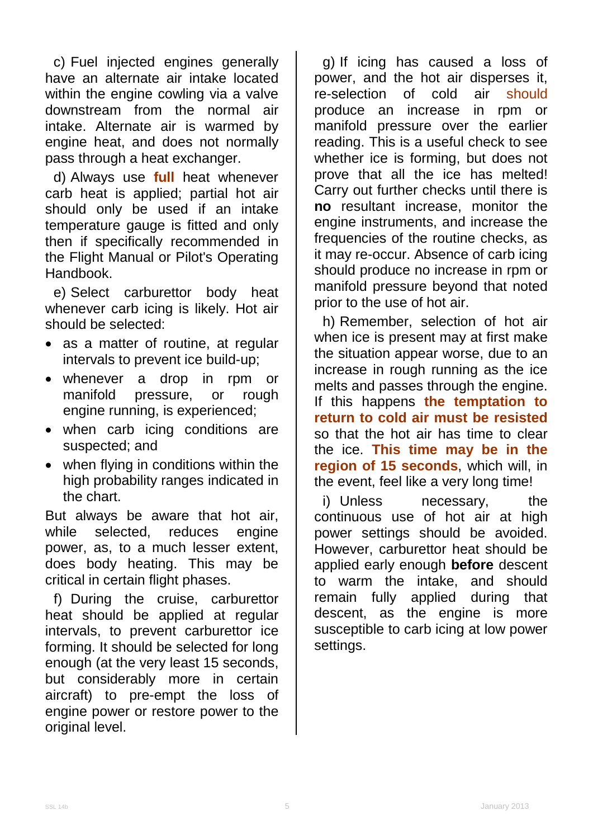c) Fuel injected engines generally have an alternate air intake located within the engine cowling via a valve downstream from the normal air intake. Alternate air is warmed by engine heat, and does not normally pass through a heat exchanger.

d) Always use **full** heat whenever carb heat is applied; partial hot air should only be used if an intake temperature gauge is fitted and only then if specifically recommended in the Flight Manual or Pilot's Operating Handbook.

e) Select carburettor body heat whenever carb icing is likely. Hot air should be selected:

- as a matter of routine, at regular intervals to prevent ice build-up;
- whenever a drop in rpm or manifold pressure, or rough engine running, is experienced;
- when carb icing conditions are suspected; and
- when flying in conditions within the high probability ranges indicated in the chart.

But always be aware that hot air, while selected, reduces engine power, as, to a much lesser extent, does body heating. This may be critical in certain flight phases.

f) During the cruise, carburettor heat should be applied at regular intervals, to prevent carburettor ice forming. It should be selected for long enough (at the very least 15 seconds, but considerably more in certain aircraft) to pre-empt the loss of engine power or restore power to the original level.

g) If icing has caused a loss of power, and the hot air disperses it,<br>re-selection of cold air should re-selection of cold air produce an increase in rpm or manifold pressure over the earlier reading. This is a useful check to see whether ice is forming, but does not prove that all the ice has melted! Carry out further checks until there is **no** resultant increase, monitor the engine instruments, and increase the frequencies of the routine checks, as it may re-occur. Absence of carb icing should produce no increase in rpm or manifold pressure beyond that noted prior to the use of hot air.

h) Remember, selection of hot air when ice is present may at first make the situation appear worse, due to an increase in rough running as the ice melts and passes through the engine. If this happens **the temptation to return to cold air must be resisted** so that the hot air has time to clear the ice. **This time may be in the region of 15 seconds**, which will, in the event, feel like a very long time!

i) Unless necessary, the continuous use of hot air at high power settings should be avoided. However, carburettor heat should be applied early enough **before** descent to warm the intake, and should remain fully applied during that descent, as the engine is more susceptible to carb icing at low power settings.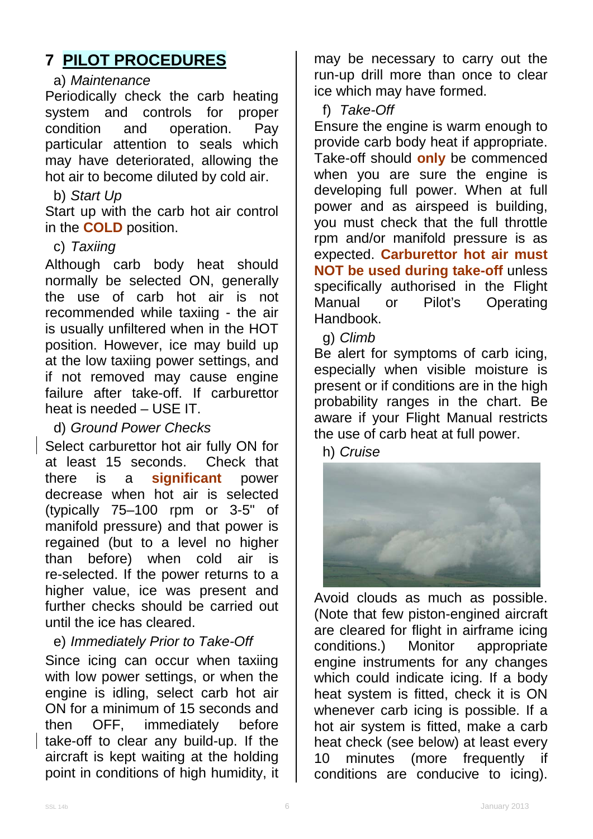## **7 PILOT PROCEDURES**

#### a) *Maintenance*

Periodically check the carb heating system and controls for proper<br>condition and operation. Pav condition and operation. particular attention to seals which may have deteriorated, allowing the hot air to become diluted by cold air.

#### b) *Start Up*

Start up with the carb hot air control in the **COLD** position.

### c) *Taxiing*

Although carb body heat should normally be selected ON, generally the use of carb hot air is not recommended while taxiing - the air is usually unfiltered when in the HOT position. However, ice may build up at the low taxiing power settings, and if not removed may cause engine failure after take-off. If carburettor heat is needed – USE IT.

d) *Ground Power Checks*

Select carburettor hot air fully ON for at least 15 seconds. Check that there is a **significant** power decrease when hot air is selected (typically 75–100 rpm or 3-5" of manifold pressure) and that power is regained (but to a level no higher than before) when cold air is re-selected. If the power returns to a higher value, ice was present and further checks should be carried out until the ice has cleared.

e) *Immediately Prior to Take-Off*

Since icing can occur when taxiing with low power settings, or when the engine is idling, select carb hot air ON for a minimum of 15 seconds and then OFF, immediately before take-off to clear any build-up. If the aircraft is kept waiting at the holding point in conditions of high humidity, it

may be necessary to carry out the run-up drill more than once to clear ice which may have formed.

f) *Take-Off*

Ensure the engine is warm enough to provide carb body heat if appropriate. Take-off should **only** be commenced when you are sure the engine is developing full power. When at full power and as airspeed is building, you must check that the full throttle rpm and/or manifold pressure is as expected. **Carburettor hot air must NOT be used during take-off** unless specifically authorised in the Flight<br>
Manual or Pilot's Operating or Pilot's Operating Handbook.

g) *Climb*

Be alert for symptoms of carb icing, especially when visible moisture is present or if conditions are in the high probability ranges in the chart. Be aware if your Flight Manual restricts the use of carb heat at full power.

h) *Cruise*



Avoid clouds as much as possible. (Note that few piston-engined aircraft are cleared for flight in airframe icing conditions.) Monitor appropriate engine instruments for any changes which could indicate icing. If a body heat system is fitted, check it is ON whenever carb icing is possible. If a hot air system is fitted, make a carb heat check (see below) at least every 10 minutes (more frequently if conditions are conducive to icing).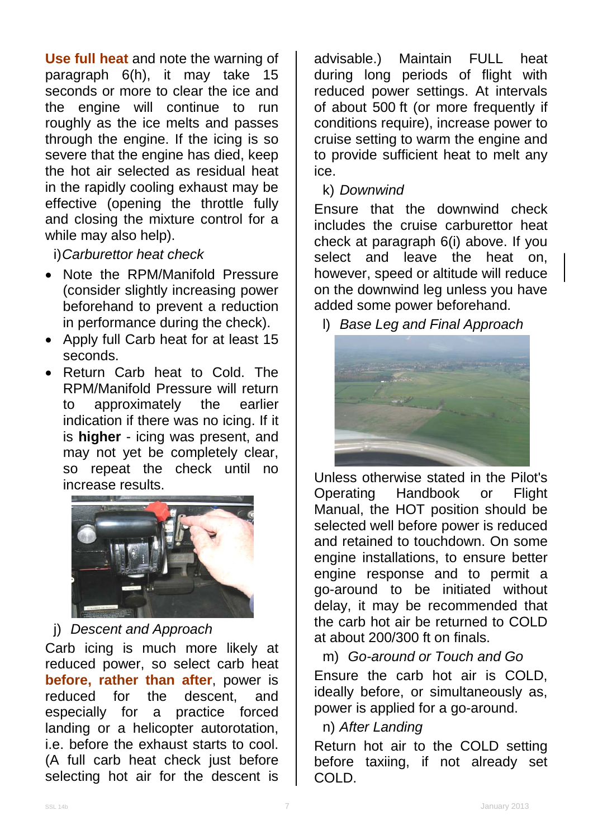**Use full heat** and note the warning of paragraph 6(h), it may take 15 seconds or more to clear the ice and the engine will continue to run roughly as the ice melts and passes through the engine. If the icing is so severe that the engine has died, keep the hot air selected as residual heat in the rapidly cooling exhaust may be effective (opening the throttle fully and closing the mixture control for a while may also help).

i)*Carburettor heat check*

- Note the RPM/Manifold Pressure (consider slightly increasing power beforehand to prevent a reduction in performance during the check).
- Apply full Carb heat for at least 15 seconds.
- Return Carb heat to Cold. The RPM/Manifold Pressure will return to approximately the earlier indication if there was no icing. If it is **higher** - icing was present, and may not yet be completely clear, so repeat the check until no increase results.



j) *Descent and Approach*

Carb icing is much more likely at reduced power, so select carb heat **before, rather than after**, power is reduced for the descent, and especially for a practice forced landing or a helicopter autorotation, i.e. before the exhaust starts to cool. (A full carb heat check just before selecting hot air for the descent is

advisable.) Maintain FULL heat during long periods of flight with reduced power settings. At intervals of about 500 ft (or more frequently if conditions require), increase power to cruise setting to warm the engine and to provide sufficient heat to melt any ice.

k) *Downwind*

Ensure that the downwind check includes the cruise carburettor heat check at paragraph 6(i) above. If you select and leave the heat on, however, speed or altitude will reduce on the downwind leg unless you have added some power beforehand.

l) *Base Leg and Final Approach*



Unless otherwise stated in the Pilot's Operating Handbook or Flight Manual, the HOT position should be selected well before power is reduced and retained to touchdown. On some engine installations, to ensure better engine response and to permit a go-around to be initiated without delay, it may be recommended that the carb hot air be returned to COLD at about 200/300 ft on finals.

m) *Go-around or Touch and Go* Ensure the carb hot air is COLD, ideally before, or simultaneously as, power is applied for a go-around.

n) *After Landing*

Return hot air to the COLD setting before taxiing, if not already set COLD.